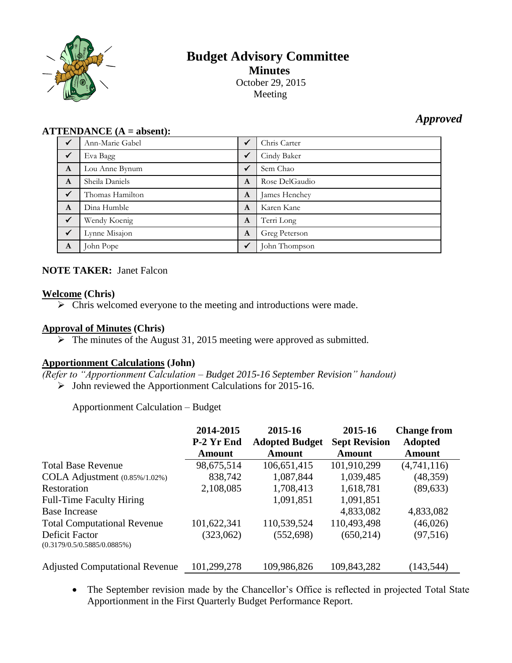

# **Budget Advisory Committee Minutes** October 29, 2015 Meeting

# *Approved*

#### **ATTENDANCE (A = absent):**

| $\checkmark$ | Ann-Marie Gabel | $\checkmark$ | Chris Carter   |
|--------------|-----------------|--------------|----------------|
| $\checkmark$ | Eva Bagg        | ✓            | Cindy Baker    |
| $\mathbf{A}$ | Lou Anne Bynum  | $\checkmark$ | Sem Chao       |
| $\mathbf{A}$ | Sheila Daniels  | A            | Rose DelGaudio |
| $\checkmark$ | Thomas Hamilton | A            | James Henchey  |
| $\mathbf{A}$ | Dina Humble     | $\mathbf{A}$ | Karen Kane     |
| $\checkmark$ | Wendy Koenig    | $\mathbf{A}$ | Terri Long     |
| $\checkmark$ | Lynne Misajon   | A            | Greg Peterson  |
| $\mathbf{A}$ | John Pope       | $\checkmark$ | John Thompson  |

## **NOTE TAKER:** Janet Falcon

#### **Welcome (Chris)**

 $\triangleright$  Chris welcomed everyone to the meeting and introductions were made.

#### **Approval of Minutes (Chris)**

 $\triangleright$  The minutes of the August 31, 2015 meeting were approved as submitted.

#### **Apportionment Calculations (John)**

*(Refer to "Apportionment Calculation – Budget 2015-16 September Revision" handout)* John reviewed the Apportionment Calculations for 2015-16.

Apportionment Calculation – Budget

|                                               | 2014-2015<br>P-2 Yr End | 2015-16                                | 2015-16                        | <b>Change from</b>              |
|-----------------------------------------------|-------------------------|----------------------------------------|--------------------------------|---------------------------------|
|                                               | <b>Amount</b>           | <b>Adopted Budget</b><br><b>Amount</b> | <b>Sept Revision</b><br>Amount | <b>Adopted</b><br><b>Amount</b> |
| <b>Total Base Revenue</b>                     | 98,675,514              | 106,651,415                            | 101,910,299                    | (4,741,116)                     |
| COLA Adjustment (0.85%/1.02%)                 | 838,742                 | 1,087,844                              | 1,039,485                      | (48, 359)                       |
| Restoration                                   | 2,108,085               | 1,708,413                              | 1,618,781                      | (89, 633)                       |
| <b>Full-Time Faculty Hiring</b>               |                         | 1,091,851                              | 1,091,851                      |                                 |
| <b>Base Increase</b>                          |                         |                                        | 4,833,082                      | 4,833,082                       |
| <b>Total Computational Revenue</b>            | 101,622,341             | 110,539,524                            | 110,493,498                    | (46, 026)                       |
| Deficit Factor<br>(0.3179/0.5/0.5885/0.0885%) | (323,062)               | (552, 698)                             | (650, 214)                     | (97, 516)                       |
| <b>Adjusted Computational Revenue</b>         | 101,299,278             | 109,986,826                            | 109,843,282                    | (143, 544)                      |

 The September revision made by the Chancellor's Office is reflected in projected Total State Apportionment in the First Quarterly Budget Performance Report.